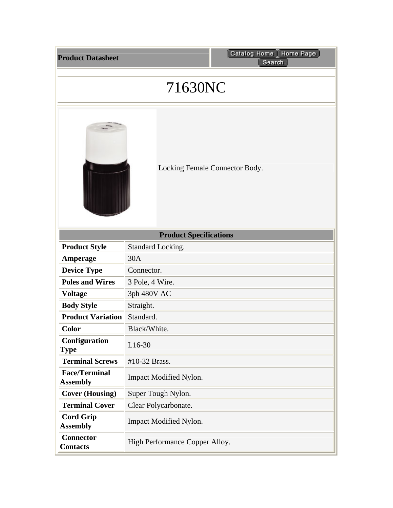| <b>Product Datasheet</b> |  |
|--------------------------|--|
|                          |  |

## 71630NC



Locking Female Connector Body.

| <b>Product Specifications</b>           |                                |  |
|-----------------------------------------|--------------------------------|--|
| <b>Product Style</b>                    | Standard Locking.              |  |
| Amperage                                | 30A                            |  |
| <b>Device Type</b>                      | Connector.                     |  |
| <b>Poles and Wires</b>                  | 3 Pole, 4 Wire.                |  |
| <b>Voltage</b>                          | 3ph 480V AC                    |  |
| <b>Body Style</b>                       | Straight.                      |  |
| <b>Product Variation</b>                | Standard.                      |  |
| <b>Color</b>                            | Black/White.                   |  |
| Configuration<br><b>Type</b>            | $L16-30$                       |  |
| <b>Terminal Screws</b>                  | #10-32 Brass.                  |  |
| <b>Face/Terminal</b><br><b>Assembly</b> | <b>Impact Modified Nylon.</b>  |  |
| <b>Cover (Housing)</b>                  | Super Tough Nylon.             |  |
| <b>Terminal Cover</b>                   | Clear Polycarbonate.           |  |
| <b>Cord Grip</b><br><b>Assembly</b>     | <b>Impact Modified Nylon.</b>  |  |
| <b>Connector</b><br><b>Contacts</b>     | High Performance Copper Alloy. |  |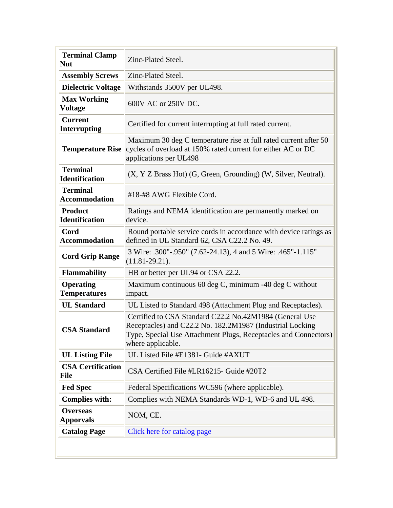| <b>Terminal Clamp</b><br><b>Nut</b>      | Zinc-Plated Steel.                                                                                                                                                                                           |
|------------------------------------------|--------------------------------------------------------------------------------------------------------------------------------------------------------------------------------------------------------------|
| <b>Assembly Screws</b>                   | Zinc-Plated Steel.                                                                                                                                                                                           |
| <b>Dielectric Voltage</b>                | Withstands 3500V per UL498.                                                                                                                                                                                  |
| <b>Max Working</b><br><b>Voltage</b>     | 600V AC or 250V DC.                                                                                                                                                                                          |
| <b>Current</b><br><b>Interrupting</b>    | Certified for current interrupting at full rated current.                                                                                                                                                    |
| <b>Temperature Rise</b>                  | Maximum 30 deg C temperature rise at full rated current after 50<br>cycles of overload at 150% rated current for either AC or DC<br>applications per UL498                                                   |
| <b>Terminal</b><br><b>Identification</b> | (X, Y Z Brass Hot) (G, Green, Grounding) (W, Silver, Neutral).                                                                                                                                               |
| <b>Terminal</b><br><b>Accommodation</b>  | #18-#8 AWG Flexible Cord.                                                                                                                                                                                    |
| <b>Product</b><br><b>Identification</b>  | Ratings and NEMA identification are permanently marked on<br>device.                                                                                                                                         |
| Cord<br><b>Accommodation</b>             | Round portable service cords in accordance with device ratings as<br>defined in UL Standard 62, CSA C22.2 No. 49.                                                                                            |
| <b>Cord Grip Range</b>                   | 3 Wire: .300"-.950" (7.62-24.13), 4 and 5 Wire: .465"-1.115"<br>$(11.81 - 29.21)$ .                                                                                                                          |
| <b>Flammability</b>                      | HB or better per UL94 or CSA 22.2.                                                                                                                                                                           |
| <b>Operating</b><br><b>Temperatures</b>  | Maximum continuous 60 deg C, minimum -40 deg C without<br>impact.                                                                                                                                            |
| <b>UL Standard</b>                       | UL Listed to Standard 498 (Attachment Plug and Receptacles).                                                                                                                                                 |
| <b>CSA Standard</b>                      | Certified to CSA Standard C22.2 No.42M1984 (General Use<br>Receptacles) and C22.2 No. 182.2M1987 (Industrial Locking<br>Type, Special Use Attachment Plugs, Receptacles and Connectors)<br>where applicable. |
| <b>UL Listing File</b>                   | UL Listed File #E1381- Guide #AXUT                                                                                                                                                                           |
| <b>CSA Certification</b><br><b>File</b>  | CSA Certified File #LR16215- Guide #20T2                                                                                                                                                                     |
| <b>Fed Spec</b>                          | Federal Specifications WC596 (where applicable).                                                                                                                                                             |
| <b>Complies with:</b>                    | Complies with NEMA Standards WD-1, WD-6 and UL 498.                                                                                                                                                          |
| <b>Overseas</b><br><b>Apporvals</b>      | NOM, CE.                                                                                                                                                                                                     |
| <b>Catalog Page</b>                      | Click here for catalog page                                                                                                                                                                                  |
|                                          |                                                                                                                                                                                                              |